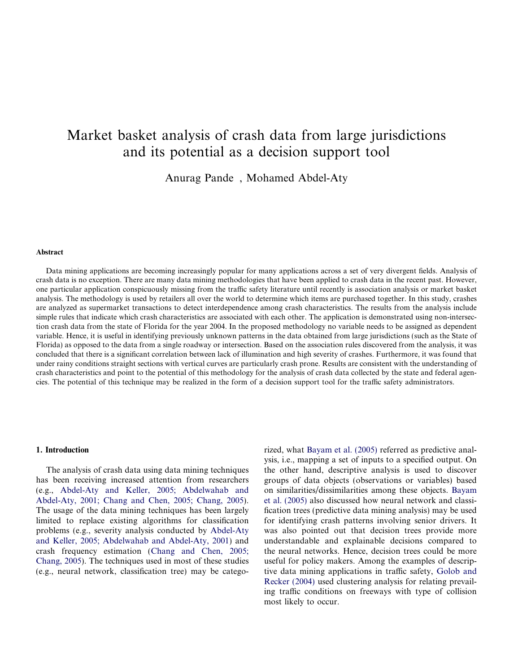# Market basket analysis of crash data from large jurisdictions and its potential as a decision support tool

Anurag Pande , Mohamed Abdel-Aty

#### Abstract

Data mining applications are becoming increasingly popular for many applications across a set of very divergent fields. Analysis of crash data is no exception. There are many data mining methodologies that have been applied to crash data in the recent past. However, one particular application conspicuously missing from the traffic safety literature until recently is association analysis or market basket analysis. The methodology is used by retailers all over the world to determine which items are purchased together. In this study, crashes are analyzed as supermarket transactions to detect interdependence among crash characteristics. The results from the analysis include simple rules that indicate which crash characteristics are associated with each other. The application is demonstrated using non-intersection crash data from the state of Florida for the year 2004. In the proposed methodology no variable needs to be assigned as dependent variable. Hence, it is useful in identifying previously unknown patterns in the data obtained from large jurisdictions (such as the State of Florida) as opposed to the data from a single roadway or intersection. Based on the association rules discovered from the analysis, it was concluded that there is a significant correlation between lack of illumination and high severity of crashes. Furthermore, it was found that under rainy conditions straight sections with vertical curves are particularly crash prone. Results are consistent with the understanding of crash characteristics and point to the potential of this methodology for the analysis of crash data collected by the state and federal agencies. The potential of this technique may be realized in the form of a decision support tool for the traffic safety administrators.

has been receiving increased attention from researchers groups of data objects (observations or variables) based (e.g., [Abdel-Aty and Keller, 2005; Abdelwahab and](#page-8-0) on similarities/dissimilarities among these objects. [Bayam](#page-8-0)  [Abdel-Aty, 2001; Chang and Chen, 2005; Chang, 2005\)](#page-8-0). [et al. \(2005\)](#page-8-0) also discussed how neural network and classi-The usage of the data mining techniques has been largely fication trees (predictive data mining analysis) may be used limited to replace existing algorithms for classification for identifying crash patterns involving senior drivers. It problems (e.g., severity analysis conducted by [Abdel-Aty](#page-8-0) was also pointed out that decision trees provide more [and Keller, 2005; Abdelwahab and Abdel-Aty, 2001](#page-8-0)) and understandable and explainable decisions compared to crash frequency estimation [\(Chang and Chen, 2005;](#page-9-0) [Chang, 2005](#page-9-0)). The techniques used in most of these studies (e.g., neural network, classification tree) may be catego-

1. Introduction **1.** Introduction **right** right right right right right randysis, i.e., mapping a set of inputs to a specified output. On The analysis of crash data using data mining techniques the other hand, descriptive analysis is used to discover most likely to occur. ing traffic conditions on freeways with type of collision [Recker \(2004\)](#page-9-0)  used clustering analysis for relating prevailtive data mining applications in traffic safety, [Golob and](#page-9-0)  useful for policy makers. Among the examples of descripthe neural networks. Hence, decision trees could be more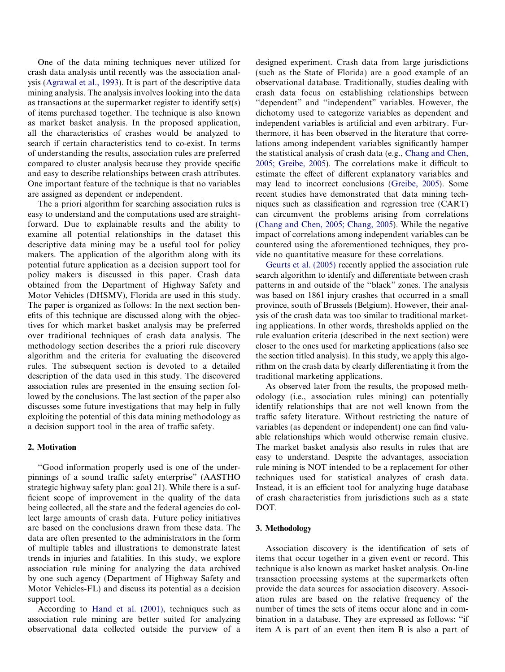One of the data mining techniques never utilized for crash data analysis until recently was the association analysis [\(Agrawal et al., 1993\)](#page-8-0). It is part of the descriptive data mining analysis. The analysis involves looking into the data as transactions at the supermarket register to identify set(s) of items purchased together. The technique is also known as market basket analysis. In the proposed application, all the characteristics of crashes would be analyzed to search if certain characteristics tend to co-exist. In terms of understanding the results, association rules are preferred compared to cluster analysis because they provide specific and easy to describe relationships between crash attributes. One important feature of the technique is that no variables are assigned as dependent or independent.

The a priori algorithm for searching association rules is easy to understand and the computations used are straightforward. Due to explainable results and the ability to examine all potential relationships in the dataset this descriptive data mining may be a useful tool for policy makers. The application of the algorithm along with its potential future application as a decision support tool for policy makers is discussed in this paper. Crash data obtained from the Department of Highway Safety and Motor Vehicles (DHSMV), Florida are used in this study. The paper is organized as follows: In the next section benefits of this technique are discussed along with the objectives for which market basket analysis may be preferred over traditional techniques of crash data analysis. The methodology section describes the a priori rule discovery algorithm and the criteria for evaluating the discovered rules. The subsequent section is devoted to a detailed description of the data used in this study. The discovered association rules are presented in the ensuing section followed by the conclusions. The last section of the paper also discusses some future investigations that may help in fully exploiting the potential of this data mining methodology as a decision support tool in the area of traffic safety.

## 2. Motivation

''Good information properly used is one of the underpinnings of a sound traffic safety enterprise" (AASTHO strategic highway safety plan: goal 21). While there is a sufficient scope of improvement in the quality of the data being collected, all the state and the federal agencies do collect large amounts of crash data. Future policy initiatives are based on the conclusions drawn from these data. The data are often presented to the administrators in the form of multiple tables and illustrations to demonstrate latest trends in injuries and fatalities. In this study, we explore association rule mining for analyzing the data archived by one such agency (Department of Highway Safety and Motor Vehicles-FL) and discuss its potential as a decision support tool.

According to [Hand et al. \(2001\),](#page-9-0) techniques such as association rule mining are better suited for analyzing observational data collected outside the purview of a designed experiment. Crash data from large jurisdictions (such as the State of Florida) are a good example of an observational database. Traditionally, studies dealing with crash data focus on establishing relationships between "dependent" and "independent" variables. However, the dichotomy used to categorize variables as dependent and independent variables is artificial and even arbitrary. Furthermore, it has been observed in the literature that correlations among independent variables significantly hamper the statistical analysis of crash data (e.g., [Chang and Chen,](#page-9-0)  [2005; Greibe, 2005](#page-9-0)). The correlations make it difficult to estimate the effect of different explanatory variables and may lead to incorrect conclusions ([Greibe, 2005](#page-9-0)). Some recent studies have demonstrated that data mining techniques such as classification and regression tree (CART) can circumvent the problems arising from correlations [\(Chang and Chen, 2005; Chang, 2005\)](#page-9-0). While the negative impact of correlations among independent variables can be countered using the aforementioned techniques, they provide no quantitative measure for these correlations.

[Geurts et al. \(2005\)](#page-9-0) recently applied the association rule search algorithm to identify and differentiate between crash patterns in and outside of the ''black" zones. The analysis was based on 1861 injury crashes that occurred in a small province, south of Brussels (Belgium). However, their analysis of the crash data was too similar to traditional marketing applications. In other words, thresholds applied on the rule evaluation criteria (described in the next section) were closer to the ones used for marketing applications (also see the section titled analysis). In this study, we apply this algorithm on the crash data by clearly differentiating it from the traditional marketing applications.

As observed later from the results, the proposed methodology (i.e., association rules mining) can potentially identify relationships that are not well known from the traffic safety literature. Without restricting the nature of variables (as dependent or independent) one can find valuable relationships which would otherwise remain elusive. The market basket analysis also results in rules that are easy to understand. Despite the advantages, association rule mining is NOT intended to be a replacement for other techniques used for statistical analyzes of crash data. Instead, it is an efficient tool for analyzing huge database of crash characteristics from jurisdictions such as a state DOT.

#### 3. Methodology

Association discovery is the identification of sets of items that occur together in a given event or record. This technique is also known as market basket analysis. On-line transaction processing systems at the supermarkets often provide the data sources for association discovery. Association rules are based on the relative frequency of the number of times the sets of items occur alone and in combination in a database. They are expressed as follows: ''if item A is part of an event then item B is also a part of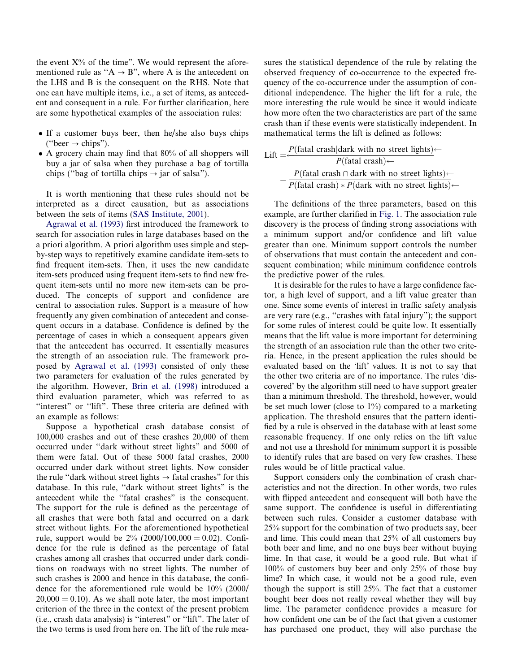the event  $X\%$  of the time". We would represent the aforementioned rule as " $A \rightarrow B$ ", where A is the antecedent on the LHS and B is the consequent on the RHS. Note that one can have multiple items, i.e., a set of items, as antecedent and consequent in a rule. For further clarification, here are some hypothetical examples of the association rules:

- � If a customer buys beer, then he/she also buys chips ("beer  $\rightarrow$  chips").
- � A grocery chain may find that 80% of all shoppers will buy a jar of salsa when they purchase a bag of tortilla chips ("bag of tortilla chips  $\rightarrow$  jar of salsa").

It is worth mentioning that these rules should not be interpreted as a direct causation, but as associations between the sets of items ([SAS Institute, 2001\)](#page-9-0).

[Agrawal et al. \(1993\)](#page-8-0) first introduced the framework to search for association rules in large databases based on the a priori algorithm. A priori algorithm uses simple and stepby-step ways to repetitively examine candidate item-sets to find frequent item-sets. Then, it uses the new candidate item-sets produced using frequent item-sets to find new frequent item-sets until no more new item-sets can be produced. The concepts of support and confidence are central to association rules. Support is a measure of how frequently any given combination of antecedent and consequent occurs in a database. Confidence is defined by the percentage of cases in which a consequent appears given that the antecedent has occurred. It essentially measures the strength of an association rule. The framework proposed by [Agrawal et al. \(1993\)](#page-8-0) consisted of only these two parameters for evaluation of the rules generated by the algorithm. However, [Brin et al. \(1998\)](#page-9-0) introduced a third evaluation parameter, which was referred to as "interest" or "lift". These three criteria are defined with an example as follows:

Suppose a hypothetical crash database consist of 100,000 crashes and out of these crashes 20,000 of them occurred under ''dark without street lights" and 5000 of them were fatal. Out of these 5000 fatal crashes, 2000 occurred under dark without street lights. Now consider the rule "dark without street lights  $\rightarrow$  fatal crashes" for this database. In this rule, ''dark without street lights" is the antecedent while the ''fatal crashes" is the consequent. The support for the rule is defined as the percentage of all crashes that were both fatal and occurred on a dark street without lights. For the aforementioned hypothetical rule, support would be  $2\%$  (2000/100,000 = 0.02). Confidence for the rule is defined as the percentage of fatal crashes among all crashes that occurred under dark conditions on roadways with no street lights. The number of such crashes is 2000 and hence in this database, the confidence for the aforementioned rule would be 10% (2000/  $20,000 = 0.10$ . As we shall note later, the most important criterion of the three in the context of the present problem (i.e., crash data analysis) is ''interest" or ''lift". The later of the two terms is used from here on. The lift of the rule measures the statistical dependence of the rule by relating the observed frequency of co-occurrence to the expected frequency of the co-occurrence under the assumption of conditional independence. The higher the lift for a rule, the more interesting the rule would be since it would indicate how more often the two characteristics are part of the same crash than if these events were statistically independent. In mathematical terms the lift is defined as follows:

Life = 
$$
\frac{P(\text{fatal crash}|\text{dark with no street lights})}{P(\text{fatal crash})} \leftarrow
$$

\n=  $\frac{P(\text{fatal crash} \cap \text{dark with no street lights})}{P(\text{fatal crash}) * P(\text{dark with no street lights})} \leftarrow$ 

The definitions of the three parameters, based on this example, are further clarified in [Fig. 1.](#page-3-0) The association rule discovery is the process of finding strong associations with a minimum support and/or confidence and lift value greater than one. Minimum support controls the number of observations that must contain the antecedent and consequent combination; while minimum confidence controls the predictive power of the rules.

It is desirable for the rules to have a large confidence factor, a high level of support, and a lift value greater than one. Since some events of interest in traffic safety analysis are very rare (e.g., ''crashes with fatal injury"); the support for some rules of interest could be quite low. It essentially means that the lift value is more important for determining the strength of an association rule than the other two criteria. Hence, in the present application the rules should be evaluated based on the 'lift' values. It is not to say that the other two criteria are of no importance. The rules 'discovered' by the algorithm still need to have support greater than a minimum threshold. The threshold, however, would be set much lower (close to  $1\%$ ) compared to a marketing application. The threshold ensures that the pattern identified by a rule is observed in the database with at least some reasonable frequency. If one only relies on the lift value and not use a threshold for minimum support it is possible to identify rules that are based on very few crashes. These rules would be of little practical value.

Support considers only the combination of crash characteristics and not the direction. In other words, two rules with flipped antecedent and consequent will both have the same support. The confidence is useful in differentiating between such rules. Consider a customer database with 25% support for the combination of two products say, beer and lime. This could mean that 25% of all customers buy both beer and lime, and no one buys beer without buying lime. In that case, it would be a good rule. But what if 100% of customers buy beer and only 25% of those buy lime? In which case, it would not be a good rule, even though the support is still 25%. The fact that a customer bought beer does not really reveal whether they will buy lime. The parameter confidence provides a measure for how confident one can be of the fact that given a customer has purchased one product, they will also purchase the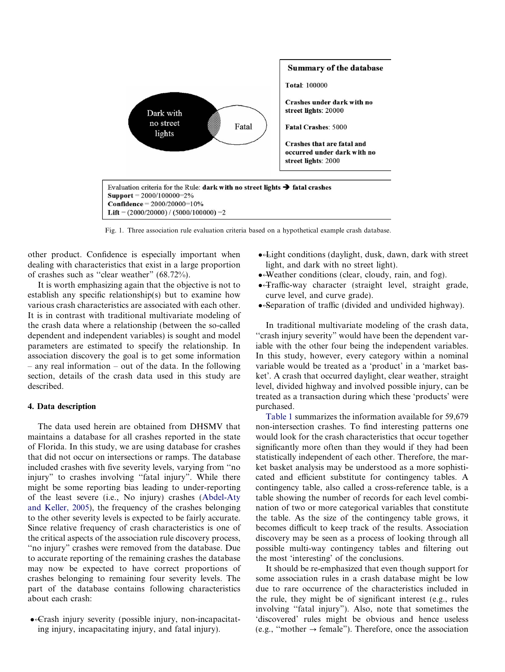<span id="page-3-0"></span>

Fig. 1. Three association rule evaluation criteria based on a hypothetical example crash database.

other product. Confidence is especially important when dealing with characteristics that exist in a large proportion of crashes such as ''clear weather" (68.72%).

It is worth emphasizing again that the objective is not to establish any specific relationship(s) but to examine how various crash characteristics are associated with each other. It is in contrast with traditional multivariate modeling of the crash data where a relationship (between the so-called dependent and independent variables) is sought and model parameters are estimated to specify the relationship. In association discovery the goal is to get some information – any real information – out of the data. In the following section, details of the crash data used in this study are described.

### 4. Data description

The data used herein are obtained from DHSMV that maintains a database for all crashes reported in the state of Florida. In this study, we are using database for crashes that did not occur on intersections or ramps. The database included crashes with five severity levels, varying from ''no injury" to crashes involving ''fatal injury". While there might be some reporting bias leading to under-reporting of the least severe (i.e., No injury) crashes ([Abdel-Aty](#page-8-0)  [and Keller, 2005](#page-8-0)), the frequency of the crashes belonging to the other severity levels is expected to be fairly accurate. Since relative frequency of crash characteristics is one of the critical aspects of the association rule discovery process, ''no injury" crashes were removed from the database. Due to accurate reporting of the remaining crashes the database may now be expected to have correct proportions of crashes belonging to remaining four severity levels. The part of the database contains following characteristics about each crash:

� Crash injury severity (possible injury, non-incapacitating injury, incapacitating injury, and fatal injury).

- $\bullet$  Light conditions (daylight, dusk, dawn, dark with street light, and dark with no street light).
- Weather conditions (clear, cloudy, rain, and fog).
- � Traffic-way character (straight level, straight grade, curve level, and curve grade).
- � Separation of traffic (divided and undivided highway).

In traditional multivariate modeling of the crash data, ''crash injury severity" would have been the dependent variable with the other four being the independent variables. In this study, however, every category within a nominal variable would be treated as a 'product' in a 'market basket'. A crash that occurred daylight, clear weather, straight level, divided highway and involved possible injury, can be treated as a transaction during which these 'products' were purchased.

[Table 1](#page-4-0) summarizes the information available for 59,679 non-intersection crashes. To find interesting patterns one would look for the crash characteristics that occur together significantly more often than they would if they had been statistically independent of each other. Therefore, the market basket analysis may be understood as a more sophisticated and efficient substitute for contingency tables. A contingency table, also called a cross-reference table, is a table showing the number of records for each level combination of two or more categorical variables that constitute the table. As the size of the contingency table grows, it becomes difficult to keep track of the results. Association discovery may be seen as a process of looking through all possible multi-way contingency tables and filtering out the most 'interesting' of the conclusions.

It should be re-emphasized that even though support for some association rules in a crash database might be low due to rare occurrence of the characteristics included in the rule, they might be of significant interest (e.g., rules involving ''fatal injury"). Also, note that sometimes the 'discovered' rules might be obvious and hence useless (e.g., "mother  $\rightarrow$  female"). Therefore, once the association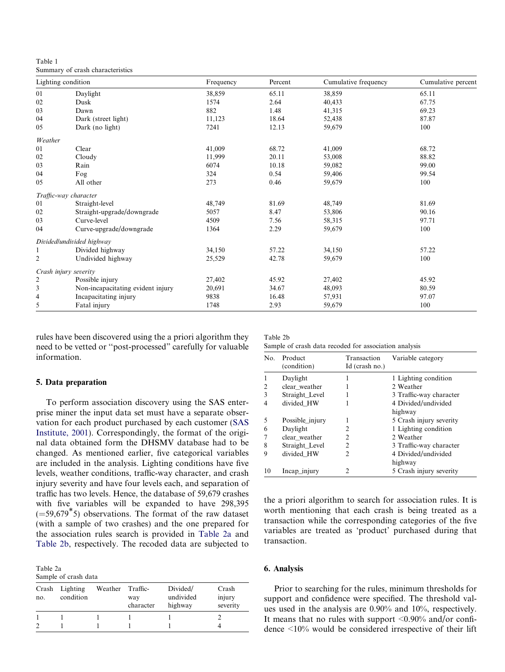<span id="page-4-0"></span>Table 1 Summary of crash characteristics

| Lighting condition |                                   | Frequency | Percent | Cumulative frequency | Cumulative percent |
|--------------------|-----------------------------------|-----------|---------|----------------------|--------------------|
| 01                 | Daylight                          | 38,859    | 65.11   | 38,859               | 65.11              |
| 02                 | Dusk                              | 1574      | 2.64    | 40,433               | 67.75              |
| 03                 | Dawn                              | 882       | 1.48    | 41,315               | 69.23              |
| 04                 | Dark (street light)               | 11,123    | 18.64   | 52,438               | 87.87              |
| 05                 | Dark (no light)                   | 7241      | 12.13   | 59,679               | 100                |
| Weather            |                                   |           |         |                      |                    |
| 01                 | Clear                             | 41,009    | 68.72   | 41,009               | 68.72              |
| 02                 | Cloudy                            | 11,999    | 20.11   | 53,008               | 88.82              |
| 03                 | Rain                              | 6074      | 10.18   | 59,082               | 99.00              |
| 04                 | Fog                               | 324       | 0.54    | 59,406               | 99.54              |
| 05                 | All other                         | 273       | 0.46    | 59,679               | 100                |
|                    | Traffic-way character             |           |         |                      |                    |
| 01                 | Straight-level                    | 48,749    | 81.69   | 48,749               | 81.69              |
| 02                 | Straight-upgrade/downgrade        | 5057      | 8.47    | 53,806               | 90.16              |
| 03                 | Curve-level                       | 4509      | 7.56    | 58,315               | 97.71              |
| 04                 | Curve-upgrade/downgrade           | 1364      | 2.29    | 59,679               | 100                |
|                    | Dividedlundivided highway         |           |         |                      |                    |
| 1                  | Divided highway                   | 34,150    | 57.22   | 34,150               | 57.22              |
| 2                  | Undivided highway                 | 25,529    | 42.78   | 59,679               | 100                |
|                    | Crash injury severity             |           |         |                      |                    |
| 2                  | Possible injury                   | 27,402    | 45.92   | 27,402               | 45.92              |
| 3                  | Non-incapacitating evident injury | 20,691    | 34.67   | 48,093               | 80.59              |
| 4                  | Incapacitating injury             | 9838      | 16.48   | 57,931               | 97.07              |
| 5                  | Fatal injury                      | 1748      | 2.93    | 59,679               | 100                |

rules have been discovered using the a priori algorithm they need to be vetted or ''post-processed" carefully for valuable information.

#### 5. Data preparation

To perform association discovery using the SAS enterprise miner the input data set must have a separate observation for each product purchased by each customer ([SAS](#page-9-0)  [Institute, 2001](#page-9-0)). Correspondingly, the format of the original data obtained form the DHSMV database had to be changed. As mentioned earlier, five categorical variables are included in the analysis. Lighting conditions have five levels, weather conditions, traffic-way character, and crash injury severity and have four levels each, and separation of traffic has two levels. Hence, the database of 59,679 crashes with five variables will be expanded to have 298,395  $(=59,679*5)$  observations. The format of the raw dataset (with a sample of two crashes) and the one prepared for the association rules search is provided in Table 2a and Table 2b, respectively. The recoded data are subjected to

| Table 2a             |  |
|----------------------|--|
| Sample of grash data |  |

|              | Dailipic of clash uata |                  |                  |                                  |                             |
|--------------|------------------------|------------------|------------------|----------------------------------|-----------------------------|
| Crash<br>no. | Lighting<br>condition  | Weather Traffic- | way<br>character | Divided/<br>undivided<br>highway | Crash<br>injury<br>severity |
|              |                        |                  |                  |                                  |                             |
|              |                        |                  |                  |                                  |                             |

| Table 2b |  |  |                                                       |  |
|----------|--|--|-------------------------------------------------------|--|
|          |  |  | Sample of crash data recoded for association analysis |  |

| No. | Product<br>(condition) | Transaction<br>Id (crash no.) | Variable category       |
|-----|------------------------|-------------------------------|-------------------------|
|     | Daylight               |                               | 1 Lighting condition    |
| 2   | clear weather          |                               | 2 Weather               |
| 3   | Straight Level         |                               | 3 Traffic-way character |
| 4   | divided HW             |                               | 4 Divided/undivided     |
|     |                        |                               | highway                 |
| 5   | Possible injury        |                               | 5 Crash injury severity |
| 6   | Daylight               | $\overline{c}$                | 1 Lighting condition    |
|     | clear weather          | 2                             | 2 Weather               |
| 8   | Straight Level         | 2                             | 3 Traffic-way character |
| 9   | divided HW             | $\mathfrak{D}$                | 4 Divided/undivided     |
|     |                        |                               | highway                 |
| 10  | Incap injury           | 2                             | 5 Crash injury severity |

the a priori algorithm to search for association rules. It is worth mentioning that each crash is being treated as a transaction while the corresponding categories of the five variables are treated as 'product' purchased during that transaction.

# 6. Analysis

Prior to searching for the rules, minimum thresholds for support and confidence were specified. The threshold values used in the analysis are 0.90% and 10%, respectively. It means that no rules with support  $\leq 0.90\%$  and/or confidence <10% would be considered irrespective of their lift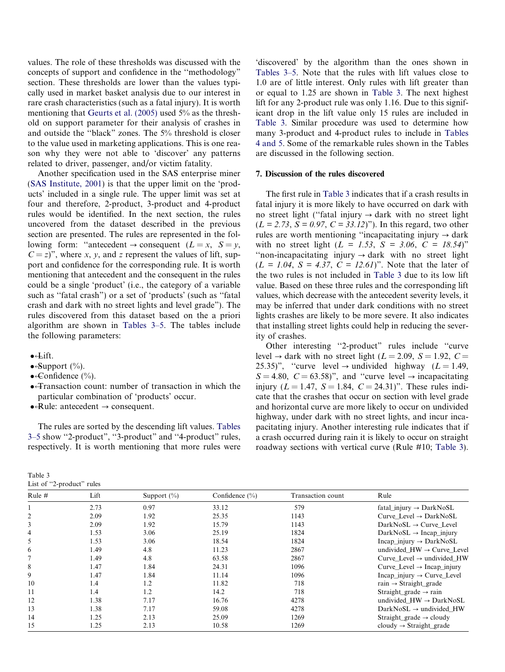<span id="page-5-0"></span>values. The role of these thresholds was discussed with the concepts of support and confidence in the ''methodology" section. These thresholds are lower than the values typically used in market basket analysis due to our interest in rare crash characteristics (such as a fatal injury). It is worth mentioning that [Geurts et al. \(2005\)](#page-9-0) used 5% as the threshold on support parameter for their analysis of crashes in and outside the ''black" zones. The 5% threshold is closer to the value used in marketing applications. This is one reason why they were not able to 'discover' any patterns related to driver, passenger, and/or victim fatality.

Another specification used in the SAS enterprise miner [\(SAS Institute, 2001](#page-9-0)) is that the upper limit on the 'products' included in a single rule. The upper limit was set at four and therefore, 2-product, 3-product and 4-product rules would be identified. In the next section, the rules uncovered from the dataset described in the previous section are presented. The rules are represented in the following form: "antecedent  $\rightarrow$  consequent ( $L = x$ ,  $S = y$ ,  $(C = z)$ ", where x, y, and z represent the values of lift, support and confidence for the corresponding rule. It is worth mentioning that antecedent and the consequent in the rules could be a single 'product' (i.e., the category of a variable such as ''fatal crash") or a set of 'products' (such as ''fatal crash and dark with no street lights and level grade"). The rules discovered from this dataset based on the a priori algorithm are shown in Tables 3–5. The tables include the following parameters:

 $\bullet$ **-**Lift.

- $\bullet$  Support  $(\%).$
- $\bullet \in$ Confidence (%).
- � Transaction count: number of transaction in which the particular combination of 'products' occur.
- $\bullet$  Rule: antecedent  $\rightarrow$  consequent.

The rules are sorted by the descending lift values. Tables 3–5 show ''2-product", ''3-product" and ''4-product" rules, respectively. It is worth mentioning that more rules were

| Table 3                   |  |
|---------------------------|--|
| List of "2-product" rules |  |

'discovered' by the algorithm than the ones shown in Tables 3–5. Note that the rules with lift values close to 1.0 are of little interest. Only rules with lift greater than or equal to 1.25 are shown in Table 3. The next highest lift for any 2-product rule was only 1.16. Due to this significant drop in the lift value only 15 rules are included in Table 3. Similar procedure was used to determine how many 3-product and 4-product rules to include in [Tables](#page-6-0)  [4 and 5](#page-6-0). Some of the remarkable rules shown in the Tables are discussed in the following section.

#### 7. Discussion of the rules discovered

The first rule in Table 3 indicates that if a crash results in fatal injury it is more likely to have occurred on dark with no street light ("fatal injury  $\rightarrow$  dark with no street light  $(L = 2.73, S = 0.97, C = 33.12)$ "). In this regard, two other rules are worth mentioning "incapacitating injury  $\rightarrow$  dark with no street light  $(L = 1.53, S = 3.06, C = 18.54)$ " "non-incapacitating injury  $\rightarrow$  dark with no street light  $(L = 1.04, S = 4.37, C = 12.61)$ ". Note that the later of the two rules is not included in Table 3 due to its low lift value. Based on these three rules and the corresponding lift values, which decrease with the antecedent severity levels, it may be inferred that under dark conditions with no street lights crashes are likely to be more severe. It also indicates that installing street lights could help in reducing the severity of crashes.

Other interesting ''2-product" rules include ''curve level  $\rightarrow$  dark with no street light ( $L = 2.09$ ,  $S = 1.92$ ,  $C =$ 25.35)", "curve level  $\rightarrow$  undivided highway ( $L = 1.49$ ,  $S = 4.80$ ,  $C = 63.58$ ", and "curve level  $\rightarrow$  incapacitating injury ( $L = 1.47$ ,  $S = 1.84$ ,  $C = 24.31$ )". These rules indicate that the crashes that occur on section with level grade and horizontal curve are more likely to occur on undivided highway, under dark with no street lights, and incur incapacitating injury. Another interesting rule indicates that if a crash occurred during rain it is likely to occur on straight roadway sections with vertical curve (Rule #10; Table 3).

| Rule $#$ | Lift | Support $(\% )$ | Confidence $(\% )$ | Transaction count | Rule                                   |  |  |
|----------|------|-----------------|--------------------|-------------------|----------------------------------------|--|--|
|          | 2.73 | 0.97            | 33.12              | 579               | fatal injury $\rightarrow$ DarkNoSL    |  |  |
|          | 2.09 | 1.92            | 25.35              | 1143              | Curve Level $\rightarrow$ DarkNoSL     |  |  |
| 3        | 2.09 | 1.92            | 15.79              | 1143              | $DarkNoSL \rightarrow Curve$ Level     |  |  |
| 4        | 1.53 | 3.06            | 25.19              | 1824              | $DarkNoSL \rightarrow Incap\_injury$   |  |  |
| 5        | 1.53 | 3.06            | 18.54              | 1824              | Incap injury $\rightarrow$ DarkNoSL    |  |  |
| 6        | 1.49 | 4.8             | 11.23              | 2867              | undivided $HW \rightarrow Curve$ Level |  |  |
|          | 1.49 | 4.8             | 63.58              | 2867              | Curve Level $\rightarrow$ undivided HW |  |  |
| 8        | 1.47 | 1.84            | 24.31              | 1096              | Curve Level $\rightarrow$ Incap injury |  |  |
| 9        | 1.47 | 1.84            | 11.14              | 1096              | Incap injury $\rightarrow$ Curve Level |  |  |
| 10       | 1.4  | 1.2             | 11.82              | 718               | rain $\rightarrow$ Straight grade      |  |  |
| 11       | 1.4  | 1.2             | 14.2               | 718               | Straight grade $\rightarrow$ rain      |  |  |
| 12       | 1.38 | 7.17            | 16.76              | 4278              | undivided $HW \rightarrow DarkNoSL$    |  |  |
| 13       | 1.38 | 7.17            | 59.08              | 4278              | DarkNoSL $\rightarrow$ undivided HW    |  |  |
| 14       | 1.25 | 2.13            | 25.09              | 1269              | Straight grade $\rightarrow$ cloudy    |  |  |
| 15       | 1.25 | 2.13            | 10.58              | 1269              | cloudy $\rightarrow$ Straight grade    |  |  |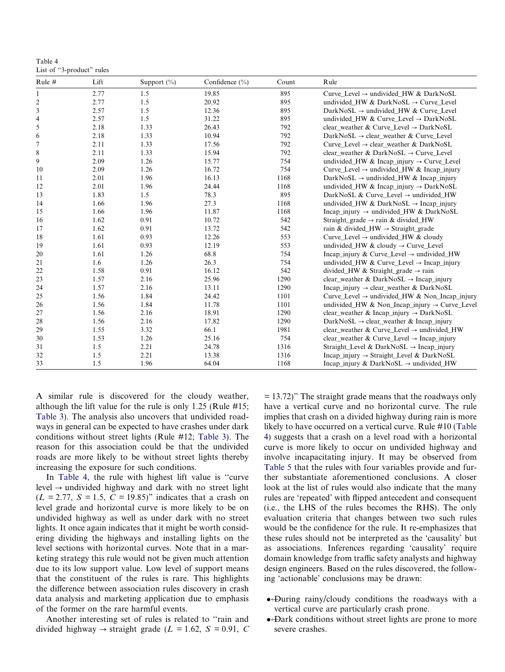<span id="page-6-0"></span>Table 4 List of ''3-product" rules

| Rule #           | Lift | Support $(\% )$ | Confidence (%) | Count | Rule                                                      |
|------------------|------|-----------------|----------------|-------|-----------------------------------------------------------|
| $\mathbf{1}$     | 2.77 | 1.5             | 19.85          | 895   | Curve Level $\rightarrow$ undivided HW & DarkNoSL         |
| $\boldsymbol{2}$ | 2.77 | 1.5             | 20.92          | 895   | undivided HW & DarkNoSL $\rightarrow$ Curve Level         |
| 3                | 2.57 | 1.5             | 12.36          | 895   | DarkNoSL $\rightarrow$ undivided HW & Curve Level         |
| 4                | 2.57 | 1.5             | 31.22          | 895   | undivided HW & Curve Level $\rightarrow$ DarkNoSL         |
| 5                | 2.18 | 1.33            | 26.43          | 792   | clear weather & Curve Level $\rightarrow$ DarkNoSL        |
| 6                | 2.18 | 1.33            | 10.94          | 792   | DarkNoSL $\rightarrow$ clear weather & Curve Level        |
| $\tau$           | 2.11 | 1.33            | 17.56          | 792   | Curve Level $\rightarrow$ clear weather & DarkNoSL        |
| 8                | 2.11 | 1.33            | 15.94          | 792   | clear weather & DarkNoSL $\rightarrow$ Curve Level        |
| 9                | 2.09 | 1.26            | 15.77          | 754   | undivided HW & Incap injury $\rightarrow$ Curve Level     |
| 10               | 2.09 | 1.26            | 16.72          | 754   | Curve Level $\rightarrow$ undivided HW & Incap injury     |
| 11               | 2.01 | 1.96            | 16.13          | 1168  | DarkNoSL $\rightarrow$ undivided HW & Incap injury        |
| 12               | 2.01 | 1.96            | 24.44          | 1168  | undivided HW & Incap injury $\rightarrow$ DarkNoSL        |
| 13               | 1.83 | 1.5             | 78.3           | 895   | DarkNoSL & Curve Level $\rightarrow$ undivided HW         |
| 14               | 1.66 | 1.96            | 27.3           | 1168  | undivided HW & DarkNoSL $\rightarrow$ Incap injury        |
| 15               | 1.66 | 1.96            | 11.87          | 1168  | Incap injury $\rightarrow$ undivided HW & DarkNoSL        |
| 16               | 1.62 | 0.91            | 10.72          | 542   | Straight grade $\rightarrow$ rain & divided HW            |
| 17               | 1.62 | 0.91            | 13.72          | 542   | rain & divided $HW \rightarrow$ Straight grade            |
| 18               | 1.61 | 0.93            | 12.26          | 553   | Curve Level $\rightarrow$ undivided HW & cloudy           |
| 19               | 1.61 | 0.93            | 12.19          | 553   | undivided HW & cloudy $\rightarrow$ Curve Level           |
| 20               | 1.61 | 1.26            | 68.8           | 754   | Incap injury & Curve Level $\rightarrow$ undivided HW     |
| 21               | 1.6  | 1.26            | 26.3           | 754   | undivided HW & Curve Level $\rightarrow$ Incap injury     |
| 22               | 1.58 | 0.91            | 16.12          | 542   | divided HW & Straight grade $\rightarrow$ rain            |
| 23               | 1.57 | 2.16            | 25.96          | 1290  | clear weather & DarkNoSL $\rightarrow$ Incap injury       |
| 24               | 1.57 | 2.16            | 13.11          | 1290  | Incap injury $\rightarrow$ clear weather & DarkNoSL       |
| 25               | 1.56 | 1.84            | 24.42          | 1101  | Curve Level $\rightarrow$ undivided HW & Non Incap injury |
| 26               | 1.56 | 1.84            | 11.78          | 1101  | undivided HW & Non Incap injury $\rightarrow$ Curve Level |
| 27               | 1.56 | 2.16            | 18.91          | 1290  | clear_weather & Incap_injury $\rightarrow$ DarkNoSL       |
| 28               | 1.56 | 2.16            | 17.82          | 1290  | DarkNoSL $\rightarrow$ clear weather & Incap injury       |
| 29               | 1.55 | 3.32            | 66.1           | 1981  | clear_weather & Curve_Level → undivided_HW                |
| 30               | 1.53 | 1.26            | 25.16          | 754   | clear weather & Curve Level $\rightarrow$ Incap injury    |
| 31               | 1.5  | 2.21            | 24.78          | 1316  | Straight Level & DarkNoSL $\rightarrow$ Incap injury      |
| 32               | 1.5  | 2.21            | 13.38          | 1316  | Incap_injury $\rightarrow$ Straight_Level & DarkNoSL      |
| 33               | 1.5  | 1.96            | 64.04          | 1168  | Incap injury & DarkNoSL $\rightarrow$ undivided HW        |

A similar rule is discovered for the cloudy weather, although the lift value for the rule is only 1.25 (Rule #15; [Table 3](#page-5-0)). The analysis also uncovers that undivided roadways in general can be expected to have crashes under dark conditions without street lights (Rule #12; [Table 3\)](#page-5-0). The reason for this association could be that the undivided roads are more likely to be without street lights thereby increasing the exposure for such conditions.

In Table 4, the rule with highest lift value is ''curve level  $\rightarrow$  undivided highway and dark with no street light  $(L = 2.77, S = 1.5, C = 19.85)$ " indicates that a crash on level grade and horizontal curve is more likely to be on undivided highway as well as under dark with no street lights. It once again indicates that it might be worth considering dividing the highways and installing lights on the level sections with horizontal curves. Note that in a marketing strategy this rule would not be given much attention due to its low support value. Low level of support means that the constituent of the rules is rare. This highlights the difference between association rules discovery in crash data analysis and marketing application due to emphasis of the former on the rare harmful events.

Another interesting set of rules is related to ''rain and divided highway  $\rightarrow$  straight grade (L = 1.62, S = 0.91, C  $= 13.72$ )" The straight grade means that the roadways only have a vertical curve and no horizontal curve. The rule implies that crash on a divided highway during rain is more likely to have occurred on a vertical curve. Rule #10 (Table 4) suggests that a crash on a level road with a horizontal curve is more likely to occur on undivided highway and involve incapacitating injury. It may be observed from [Table 5](#page-7-0) that the rules with four variables provide and further substantiate aforementioned conclusions. A closer look at the list of rules would also indicate that the many rules are 'repeated' with flipped antecedent and consequent (i.e., the LHS of the rules becomes the RHS). The only evaluation criteria that changes between two such rules would be the confidence for the rule. It re-emphasizes that these rules should not be interpreted as the 'causality' but as associations. Inferences regarding 'causality' require domain knowledge from traffic safety analysts and highway design engineers. Based on the rules discovered, the following 'actionable' conclusions may be drawn:

- � During rainy/cloudy conditions the roadways with a vertical curve are particularly crash prone.
- � Dark conditions without street lights are prone to more severe crashes.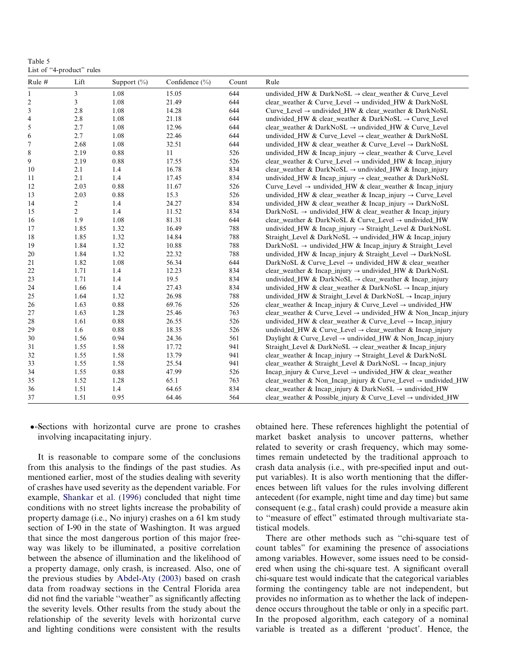<span id="page-7-0"></span>Table 5 List of ''4-product" rules

| Rule $#$                | Lift           | Support $(\% )$ | Confidence $(\% )$ | Count | Rule                                                                      |
|-------------------------|----------------|-----------------|--------------------|-------|---------------------------------------------------------------------------|
| 1                       | $\mathfrak{Z}$ | 1.08            | 15.05              | 644   | undivided HW & DarkNoSL $\rightarrow$ clear weather & Curve Level         |
| $\overline{c}$          | 3              | 1.08            | 21.49              | 644   | clear_weather & Curve_Level → undivided_HW & DarkNoSL                     |
| $\mathfrak{Z}$          | 2.8            | 1.08            | 14.28              | 644   | Curve Level $\rightarrow$ undivided HW & clear weather & DarkNoSL         |
| $\overline{\mathbf{4}}$ | 2.8            | 1.08            | 21.18              | 644   | undivided HW & clear weather & DarkNoSL $\rightarrow$ Curve Level         |
| 5                       | 2.7            | 1.08            | 12.96              | 644   | clear weather & DarkNoSL $\rightarrow$ undivided HW & Curve Level         |
| 6                       | 2.7            | 1.08            | 22.46              | 644   | undivided HW & Curve Level $\rightarrow$ clear weather & DarkNoSL         |
| 7                       | 2.68           | 1.08            | 32.51              | 644   | undivided HW & clear weather & Curve Level $\rightarrow$ DarkNoSL         |
| $\,$ $\,$               | 2.19           | 0.88            | 11                 | 526   | undivided HW & Incap injury $\rightarrow$ clear weather & Curve Level     |
| 9                       | 2.19           | 0.88            | 17.55              | 526   | clear weather & Curve Level $\rightarrow$ undivided HW & Incap injury     |
| 10                      | 2.1            | 1.4             | 16.78              | 834   | clear weather & DarkNoSL $\rightarrow$ undivided HW & Incap injury        |
| 11                      | 2.1            | 1.4             | 17.45              | 834   | undivided HW & Incap injury $\rightarrow$ clear weather & DarkNoSL        |
| 12                      | 2.03           | 0.88            | 11.67              | 526   | Curve Level $\rightarrow$ undivided HW & clear weather & Incap injury     |
| 13                      | 2.03           | 0.88            | 15.3               | 526   | undivided HW & clear weather & Incap injury $\rightarrow$ Curve Level     |
| 14                      | $\overline{2}$ | 1.4             | 24.27              | 834   | undivided HW & clear weather & Incap injury $\rightarrow$ DarkNoSL        |
| 15                      | $\overline{2}$ | 1.4             | 11.52              | 834   | DarkNoSL $\rightarrow$ undivided HW & clear weather & Incap injury        |
| 16                      | 1.9            | 1.08            | 81.31              | 644   | clear weather & DarkNoSL & Curve Level $\rightarrow$ undivided HW         |
| 17                      | 1.85           | 1.32            | 16.49              | 788   | undivided HW & Incap injury $\rightarrow$ Straight Level & DarkNoSL       |
| 18                      | 1.85           | 1.32            | 14.84              | 788   | Straight Level & DarkNoSL $\rightarrow$ undivided HW & Incap injury       |
| 19                      | 1.84           | 1.32            | 10.88              | 788   | DarkNoSL $\rightarrow$ undivided HW & Incap injury & Straight Level       |
| 20                      | 1.84           | 1.32            | 22.32              | 788   | undivided HW & Incap injury & Straight Level $\rightarrow$ DarkNoSL       |
| 21                      | 1.82           | 1.08            | 56.34              | 644   | DarkNoSL & Curve Level $\rightarrow$ undivided HW & clear weather         |
| 22                      | 1.71           | 1.4             | 12.23              | 834   | clear weather & Incap injury $\rightarrow$ undivided HW & DarkNoSL        |
| 23                      | 1.71           | 1.4             | 19.5               | 834   | undivided HW & DarkNoSL $\rightarrow$ clear weather & Incap injury        |
| 24                      | 1.66           | 1.4             | 27.43              | 834   | undivided HW & clear weather & DarkNoSL $\rightarrow$ Incap injury        |
| 25                      | 1.64           | 1.32            | 26.98              | 788   | undivided HW & Straight Level & DarkNoSL $\rightarrow$ Incap injury       |
| 26                      | 1.63           | 0.88            | 69.76              | 526   | clear weather & Incap injury & Curve Level $\rightarrow$ undivided HW     |
| 27                      | 1.63           | 1.28            | 25.46              | 763   | clear weather & Curve Level $\rightarrow$ undivided HW & Non Incap injury |
| 28                      | 1.61           | 0.88            | 26.55              | 526   | undivided_HW & clear_weather & Curve_Level $\rightarrow$ Incap_injury     |
| 29                      | 1.6            | 0.88            | 18.35              | 526   | undivided HW & Curve Level $\rightarrow$ clear weather & Incap injury     |
| 30                      | 1.56           | 0.94            | 24.36              | 561   | Daylight & Curve Level $\rightarrow$ undivided HW & Non Incap injury      |
| 31                      | 1.55           | 1.58            | 17.72              | 941   | Straight Level & DarkNoSL $\rightarrow$ clear weather & Incap injury      |
| 32                      | 1.55           | 1.58            | 13.79              | 941   | clear weather & Incap injury $\rightarrow$ Straight Level & DarkNoSL      |
| 33                      | 1.55           | 1.58            | 25.54              | 941   | clear weather & Straight Level & DarkNoSL $\rightarrow$ Incap injury      |
| 34                      | 1.55           | 0.88            | 47.99              | 526   | Incap_injury & Curve_Level $\rightarrow$ undivided_HW & clear_weather     |
| 35                      | 1.52           | 1.28            | 65.1               | 763   | clear weather & Non Incap injury & Curve Level $\rightarrow$ undivided HW |
| 36                      | 1.51           | 1.4             | 64.65              | 834   | clear weather & Incap injury & DarkNoSL $\rightarrow$ undivided HW        |
| 37                      | 1.51           | 0.95            | 64.46              | 564   | clear weather & Possible injury & Curve Level $\rightarrow$ undivided HW  |

# $\bullet$  Sections with horizontal curve are prone to crashes involving incapacitating injury.

It is reasonable to compare some of the conclusions from this analysis to the findings of the past studies. As mentioned earlier, most of the studies dealing with severity of crashes have used severity as the dependent variable. For example, [Shankar et al. \(1996\)](#page-9-0) concluded that night time conditions with no street lights increase the probability of property damage (i.e., No injury) crashes on a 61 km study section of I-90 in the state of Washington. It was argued that since the most dangerous portion of this major freeway was likely to be illuminated, a positive correlation between the absence of illumination and the likelihood of a property damage, only crash, is increased. Also, one of the previous studies by [Abdel-Aty \(2003\)](#page-8-0) based on crash data from roadway sections in the Central Florida area did not find the variable ''weather" as significantly affecting the severity levels. Other results from the study about the relationship of the severity levels with horizontal curve and lighting conditions were consistent with the results obtained here. These references highlight the potential of market basket analysis to uncover patterns, whether related to severity or crash frequency, which may sometimes remain undetected by the traditional approach to crash data analysis (i.e., with pre-specified input and output variables). It is also worth mentioning that the differences between lift values for the rules involving different antecedent (for example, night time and day time) but same consequent (e.g., fatal crash) could provide a measure akin to ''measure of effect" estimated through multivariate statistical models.

There are other methods such as ''chi-square test of count tables" for examining the presence of associations among variables. However, some issues need to be considered when using the chi-square test. A significant overall chi-square test would indicate that the categorical variables forming the contingency table are not independent, but provides no information as to whether the lack of independence occurs throughout the table or only in a specific part. In the proposed algorithm, each category of a nominal variable is treated as a different 'product'. Hence, the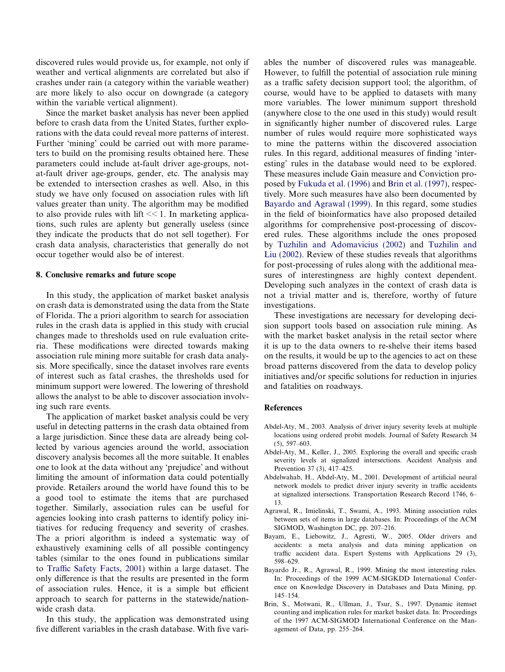<span id="page-8-0"></span>discovered rules would provide us, for example, not only if weather and vertical alignments are correlated but also if crashes under rain (a category within the variable weather) are more likely to also occur on downgrade (a category within the variable vertical alignment).

Since the market basket analysis has never been applied before to crash data from the United States, further explorations with the data could reveal more patterns of interest. Further 'mining' could be carried out with more parameters to build on the promising results obtained here. These parameters could include at-fault driver age-groups, notat-fault driver age-groups, gender, etc. The analysis may be extended to intersection crashes as well. Also, in this study we have only focused on association rules with lift values greater than unity. The algorithm may be modified to also provide rules with lift  $<< 1$ . In marketing applications, such rules are aplenty but generally useless (since they indicate the products that do not sell together). For crash data analysis, characteristics that generally do not occur together would also be of interest.

## 8. Conclusive remarks and future scope

In this study, the application of market basket analysis on crash data is demonstrated using the data from the State of Florida. The a priori algorithm to search for association rules in the crash data is applied in this study with crucial changes made to thresholds used on rule evaluation criteria. These modifications were directed towards making association rule mining more suitable for crash data analysis. More specifically, since the dataset involves rare events of interest such as fatal crashes, the thresholds used for minimum support were lowered. The lowering of threshold allows the analyst to be able to discover association involving such rare events.

The application of market basket analysis could be very useful in detecting patterns in the crash data obtained from a large jurisdiction. Since these data are already being collected by various agencies around the world, association discovery analysis becomes all the more suitable. It enables one to look at the data without any 'prejudice' and without limiting the amount of information data could potentially provide. Retailers around the world have found this to be a good tool to estimate the items that are purchased together. Similarly, association rules can be useful for agencies looking into crash patterns to identify policy initiatives for reducing frequency and severity of crashes. The a priori algorithm is indeed a systematic way of exhaustively examining cells of all possible contingency tables (similar to the ones found in publications similar to [Traffic Safety Facts, 2001\)](#page-9-0) within a large dataset. The only difference is that the results are presented in the form of association rules. Hence, it is a simple but efficient approach to search for patterns in the statewide/nationwide crash data.

In this study, the application was demonstrated using five different variables in the crash database. With five variables the number of discovered rules was manageable. However, to fulfill the potential of association rule mining as a traffic safety decision support tool; the algorithm, of course, would have to be applied to datasets with many more variables. The lower minimum support threshold (anywhere close to the one used in this study) would result in significantly higher number of discovered rules. Large number of rules would require more sophisticated ways to mine the patterns within the discovered association rules. In this regard, additional measures of finding 'interesting' rules in the database would need to be explored. These measures include Gain measure and Conviction proposed by [Fukuda et al. \(1996\)](#page-9-0) and Brin et al. (1997), respectively. More such measures have also been documented by Bayardo and Agrawal (1999). In this regard, some studies in the field of bioinformatics have also proposed detailed algorithms for comprehensive post-processing of discovered rules. These algorithms include the ones proposed by [Tuzhilin and Adomavicius \(2002\)](#page-9-0) and [Tuzhilin and](#page-9-0)  [Liu \(2002\)](#page-9-0). Review of these studies reveals that algorithms for post-processing of rules along with the additional measures of interestingness are highly context dependent. Developing such analyzes in the context of crash data is not a trivial matter and is, therefore, worthy of future investigations.

These investigations are necessary for developing decision support tools based on association rule mining. As with the market basket analysis in the retail sector where it is up to the data owners to re-shelve their items based on the results, it would be up to the agencies to act on these broad patterns discovered from the data to develop policy initiatives and/or specific solutions for reduction in injuries and fatalities on roadways.

#### References

- Abdel-Aty, M., 2003. Analysis of driver injury severity levels at multiple locations using ordered probit models. Journal of Safety Research 34 (5), 597–603.
- Abdel-Aty, M., Keller, J., 2005. Exploring the overall and specific crash severity levels at signalized intersections. Accident Analysis and Prevention 37 (3), 417–425.
- Abdelwahab, H., Abdel-Aty, M., 2001. Development of artificial neural network models to predict driver injury severity in traffic accidents at signalized intersections. Transportation Research Record 1746, 6– 13.
- Agrawal, R., Imielinski, T., Swami, A., 1993. Mining association rules between sets of items in large databases. In: Proceedings of the ACM SIGMOD, Washington DC, pp. 207–216.
- Bayam, E., Liebowitz, J., Agresti, W., 2005. Older drivers and accidents: a meta analysis and data mining application on traffic accident data. Expert Systems with Applications 29 (3), 598–629.
- Bayardo Jr., R., Agrawal, R., 1999. Mining the most interesting rules. In: Proceedings of the 1999 ACM-SIGKDD International Conference on Knowledge Discovery in Databases and Data Mining, pp. 145–154.
- Brin, S., Motwani, R., Ullman, J., Tsur, S., 1997. Dynamic itemset counting and implication rules for market basket data. In: Proceedings of the 1997 ACM-SIGMOD International Conference on the Management of Data, pp. 255–264.